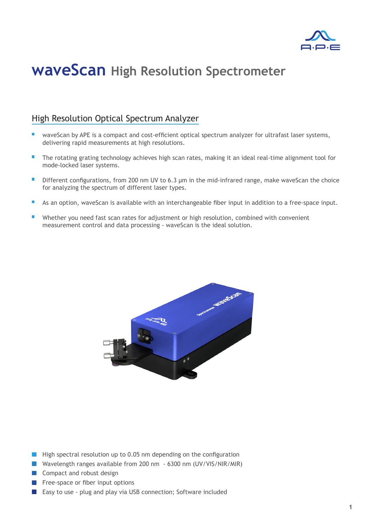

## **waveScan High Resolution Spectrometer**

### High Resolution Optical Spectrum Analyzer

- waveScan by APE is a compact and cost-efficient optical spectrum analyzer for ultrafast laser systems, delivering rapid measurements at high resolutions.
- The rotating grating technology achieves high scan rates, making it an ideal real-time alignment tool for  $\blacksquare$ mode-locked laser systems.
- Different configurations, from 200 nm UV to 6.3 µm in the mid-infrared range, make waveScan the choice  $\Box$ for analyzing the spectrum of different laser types.
- As an option, waveScan is available with an interchangeable fiber input in addition to a free-space input.  $\mathbf{r}$
- Whether you need fast scan rates for adjustment or high resolution, combined with convenient measurement control and data processing - waveScan is the ideal solution.



- $\blacksquare$  High spectral resolution up to 0.05 nm depending on the configuration
- Wavelength ranges available from 200 nm 6300 nm (UV/VIS/NIR/MIR)
- **Compact and robust design**
- $\blacksquare$  Free-space or fiber input options
- Easy to use plug and play via USB connection; Software included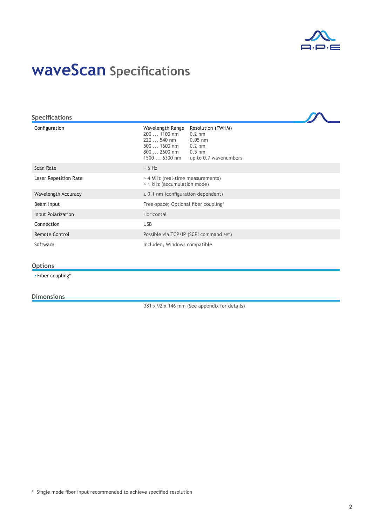

# **waveScan Specifications**

| <b>Specifications</b> |                                                                                                  |                                                                                                     |  |
|-----------------------|--------------------------------------------------------------------------------------------------|-----------------------------------------------------------------------------------------------------|--|
| Configuration         | Wavelength Range<br>$2001100$ nm<br>220  540 nm<br>$5001600$ nm<br>$8002600$ nm<br>1500  6300 nm | Resolution (FWHM)<br>$0.2 \text{ nm}$<br>$0.05$ nm<br>$0.2$ nm<br>$0.5$ nm<br>up to 0.7 wavenumbers |  |
| Scan Rate             | $~5$ 6 Hz                                                                                        |                                                                                                     |  |
| Laser Repetition Rate | > 4 MHz (real-time measurements)<br>> 1 kHz (accumulation mode)                                  |                                                                                                     |  |
| Wavelength Accuracy   | $\pm$ 0.1 nm (configuration dependent)                                                           |                                                                                                     |  |
| Beam Input            | Free-space; Optional fiber coupling*                                                             |                                                                                                     |  |
| Input Polarization    | Horizontal                                                                                       |                                                                                                     |  |
| Connection            | <b>USB</b>                                                                                       |                                                                                                     |  |
| Remote Control        |                                                                                                  | Possible via TCP/IP (SCPI command set)                                                              |  |
| Software              | Included, Windows compatible                                                                     |                                                                                                     |  |

#### **Options**

▪ Fiber coupling\*

#### **Dimensions**

381 x 92 x 146 mm (See appendix for details)